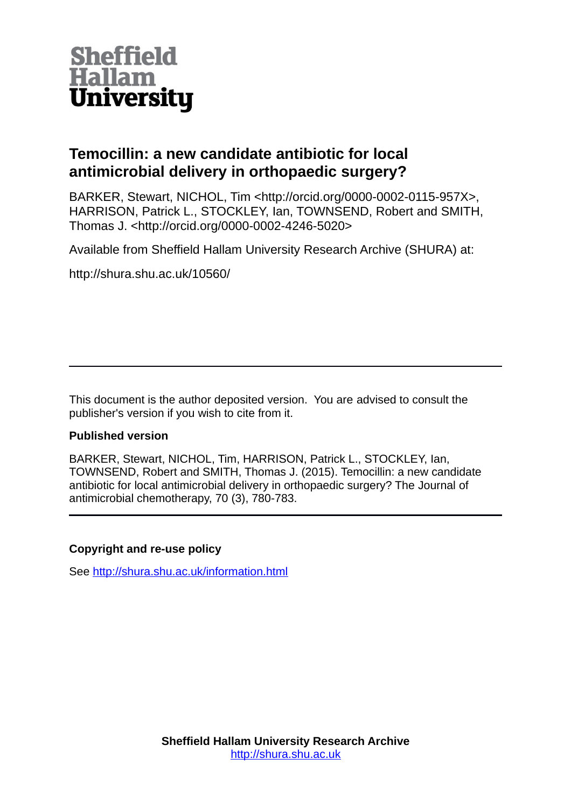

# **Temocillin: a new candidate antibiotic for local antimicrobial delivery in orthopaedic surgery?**

BARKER, Stewart, NICHOL, Tim <http://orcid.org/0000-0002-0115-957X>, HARRISON, Patrick L., STOCKLEY, Ian, TOWNSEND, Robert and SMITH, Thomas J. <http://orcid.org/0000-0002-4246-5020>

Available from Sheffield Hallam University Research Archive (SHURA) at:

http://shura.shu.ac.uk/10560/

This document is the author deposited version. You are advised to consult the publisher's version if you wish to cite from it.

# **Published version**

BARKER, Stewart, NICHOL, Tim, HARRISON, Patrick L., STOCKLEY, Ian, TOWNSEND, Robert and SMITH, Thomas J. (2015). Temocillin: a new candidate antibiotic for local antimicrobial delivery in orthopaedic surgery? The Journal of antimicrobial chemotherapy, 70 (3), 780-783.

# **Copyright and re-use policy**

See<http://shura.shu.ac.uk/information.html>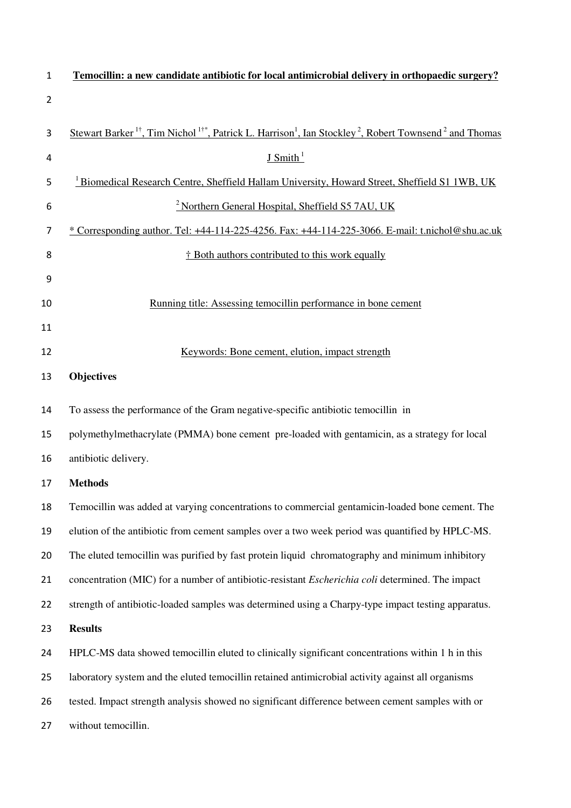| $\mathbf{1}$   | Temocillin: a new candidate antibiotic for local antimicrobial delivery in orthopaedic surgery?                                                                   |  |  |
|----------------|-------------------------------------------------------------------------------------------------------------------------------------------------------------------|--|--|
| $\overline{2}$ |                                                                                                                                                                   |  |  |
| 3              | Stewart Barker <sup>1†</sup> , Tim Nichol <sup>1†*</sup> , Patrick L. Harrison <sup>1</sup> , Ian Stockley <sup>2</sup> , Robert Townsend <sup>2</sup> and Thomas |  |  |
| 4              | J Smith <sup>1</sup>                                                                                                                                              |  |  |
| 5              | <sup>1</sup> Biomedical Research Centre, Sheffield Hallam University, Howard Street, Sheffield S1 1WB, UK                                                         |  |  |
| 6              | <sup>2</sup> Northern General Hospital, Sheffield S5 7AU, UK                                                                                                      |  |  |
| 7              | $*$ Corresponding author. Tel: +44-114-225-4256. Fax: +44-114-225-3066. E-mail: t.nichol@shu.ac.uk                                                                |  |  |
| 8              | † Both authors contributed to this work equally                                                                                                                   |  |  |
| 9              |                                                                                                                                                                   |  |  |
| 10             | Running title: Assessing temocillin performance in bone cement                                                                                                    |  |  |
| 11             |                                                                                                                                                                   |  |  |
| 12             | Keywords: Bone cement, elution, impact strength                                                                                                                   |  |  |
| 13             | Objectives                                                                                                                                                        |  |  |
| 14             | To assess the performance of the Gram negative-specific antibiotic temocillin in                                                                                  |  |  |
| 15             | polymethylmethacrylate (PMMA) bone cement pre-loaded with gentamicin, as a strategy for local                                                                     |  |  |
| 16             | antibiotic delivery.                                                                                                                                              |  |  |
| 17             | <b>Methods</b>                                                                                                                                                    |  |  |
| 18             | Temocillin was added at varying concentrations to commercial gentamicin-loaded bone cement. The                                                                   |  |  |
| 19             | elution of the antibiotic from cement samples over a two week period was quantified by HPLC-MS.                                                                   |  |  |
| 20             | The eluted temocillin was purified by fast protein liquid chromatography and minimum inhibitory                                                                   |  |  |
| 21             | concentration (MIC) for a number of antibiotic-resistant <i>Escherichia coli</i> determined. The impact                                                           |  |  |
| 22             | strength of antibiotic-loaded samples was determined using a Charpy-type impact testing apparatus.                                                                |  |  |
| 23             | <b>Results</b>                                                                                                                                                    |  |  |
| 24             | HPLC-MS data showed temocillin eluted to clinically significant concentrations within 1 h in this                                                                 |  |  |
| 25             | laboratory system and the eluted temocillin retained antimicrobial activity against all organisms                                                                 |  |  |
| 26             | tested. Impact strength analysis showed no significant difference between cement samples with or                                                                  |  |  |
| 27             | without temocillin.                                                                                                                                               |  |  |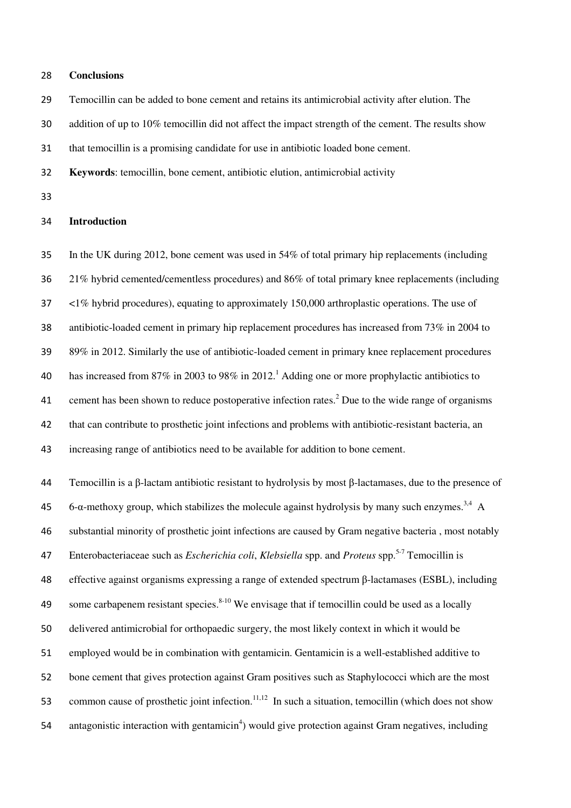#### **Conclusions**

Temocillin can be added to bone cement and retains its antimicrobial activity after elution. The

addition of up to 10% temocillin did not affect the impact strength of the cement. The results show

that temocillin is a promising candidate for use in antibiotic loaded bone cement.

**Keywords**: temocillin, bone cement, antibiotic elution, antimicrobial activity

## **Introduction**

In the UK during 2012, bone cement was used in 54% of total primary hip replacements (including 21% hybrid cemented/cementless procedures) and 86% of total primary knee replacements (including <1% hybrid procedures), equating to approximately 150,000 arthroplastic operations. The use of antibiotic-loaded cement in primary hip replacement procedures has increased from 73% in 2004 to 89% in 2012. Similarly the use of antibiotic-loaded cement in primary knee replacement procedures 40 has increased from 87% in 2003 to 98% in 2012.<sup>1</sup> Adding one or more prophylactic antibiotics to 41 cement has been shown to reduce postoperative infection rates.<sup>2</sup> Due to the wide range of organisms that can contribute to prosthetic joint infections and problems with antibiotic-resistant bacteria, an increasing range of antibiotics need to be available for addition to bone cement.

Temocillin is a β-lactam antibiotic resistant to hydrolysis by most β-lactamases, due to the presence of 6-α-methoxy group, which stabilizes the molecule against hydrolysis by many such enzymes.<sup>3,4</sup> A substantial minority of prosthetic joint infections are caused by Gram negative bacteria , most notably Enterobacteriaceae such as *Escherichia coli*, *Klebsiella* spp. and *Proteus* spp.5-7 Temocillin is effective against organisms expressing a range of extended spectrum β-lactamases (ESBL), including 49 some carbapenem resistant species.  $8-10$  We envisage that if temocillin could be used as a locally delivered antimicrobial for orthopaedic surgery, the most likely context in which it would be employed would be in combination with gentamicin. Gentamicin is a well-established additive to bone cement that gives protection against Gram positives such as Staphylococci which are the most 53 common cause of prosthetic joint infection.<sup>11,12</sup> In such a situation, temocillin (which does not show 54 antagonistic interaction with gentamicin<sup>4</sup>) would give protection against Gram negatives, including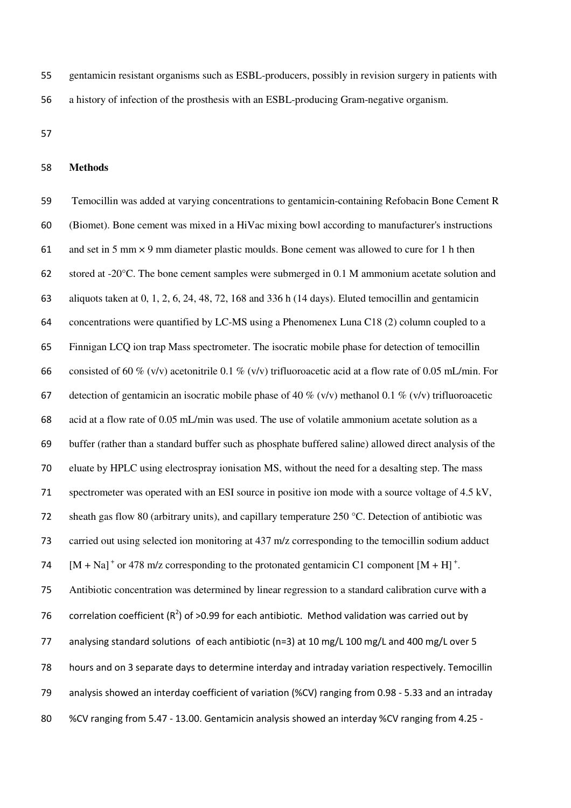gentamicin resistant organisms such as ESBL-producers, possibly in revision surgery in patients with a history of infection of the prosthesis with an ESBL-producing Gram-negative organism.

## **Methods**

Temocillin was added at varying concentrations to gentamicin-containing Refobacin Bone Cement R (Biomet). Bone cement was mixed in a HiVac mixing bowl according to manufacturer's instructions 61 and set in 5 mm  $\times$  9 mm diameter plastic moulds. Bone cement was allowed to cure for 1 h then stored at -20°C. The bone cement samples were submerged in 0.1 M ammonium acetate solution and aliquots taken at 0, 1, 2, 6, 24, 48, 72, 168 and 336 h (14 days). Eluted temocillin and gentamicin concentrations were quantified by LC-MS using a Phenomenex Luna C18 (2) column coupled to a Finnigan LCQ ion trap Mass spectrometer. The isocratic mobile phase for detection of temocillin 66 consisted of 60 % (v/v) acetonitrile 0.1 % (v/v) trifluoroacetic acid at a flow rate of 0.05 mL/min. For 67 detection of gentamicin an isocratic mobile phase of 40 % (v/v) methanol 0.1 % (v/v) trifluoroacetic acid at a flow rate of 0.05 mL/min was used. The use of volatile ammonium acetate solution as a buffer (rather than a standard buffer such as phosphate buffered saline) allowed direct analysis of the eluate by HPLC using electrospray ionisation MS, without the need for a desalting step. The mass spectrometer was operated with an ESI source in positive ion mode with a source voltage of 4.5 kV, sheath gas flow 80 (arbitrary units), and capillary temperature 250 °C. Detection of antibiotic was carried out using selected ion monitoring at 437 m/z corresponding to the temocillin sodium adduct  $[M + Na]$ <sup>+</sup> or 478 m/z corresponding to the protonated gentamicin C1 component  $[M + H]$ <sup>+</sup>. Antibiotic concentration was determined by linear regression to a standard calibration curve with a 76 correlation coefficient ( $R^2$ ) of >0.99 for each antibiotic. Method validation was carried out by 77 analysing standard solutions of each antibiotic (n=3) at 10 mg/L 100 mg/L and 400 mg/L over 5 78 hours and on 3 separate days to determine interday and intraday variation respectively. Temocillin 79 analysis showed an interday coefficient of variation (%CV) ranging from 0.98 - 5.33 and an intraday 80 %CV ranging from 5.47 - 13.00. Gentamicin analysis showed an interday %CV ranging from 4.25 -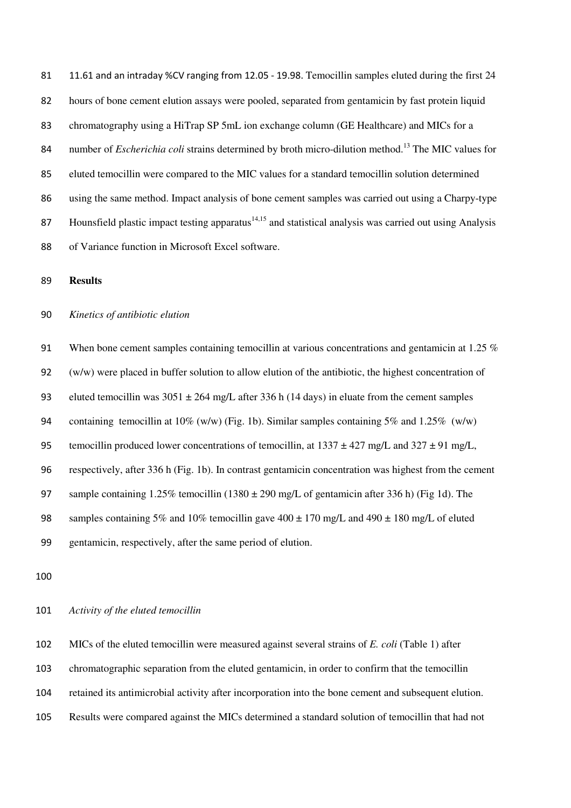81 11.61 and an intraday %CV ranging from 12.05 - 19.98. Temocillin samples eluted during the first 24 hours of bone cement elution assays were pooled, separated from gentamicin by fast protein liquid chromatography using a HiTrap SP 5mL ion exchange column (GE Healthcare) and MICs for a 84 number of *Escherichia coli* strains determined by broth micro-dilution method.<sup>13</sup> The MIC values for eluted temocillin were compared to the MIC values for a standard temocillin solution determined using the same method. Impact analysis of bone cement samples was carried out using a Charpy-type 87 Hounsfield plastic impact testing apparatus $14,15$  and statistical analysis was carried out using Analysis of Variance function in Microsoft Excel software.

#### **Results**

#### *Kinetics of antibiotic elution*

91 When bone cement samples containing temocillin at various concentrations and gentamicin at 1.25 % (w/w) were placed in buffer solution to allow elution of the antibiotic, the highest concentration of 93 eluted temocillin was  $3051 \pm 264$  mg/L after 336 h (14 days) in eluate from the cement samples 94 containing temocillin at  $10\%$  (w/w) (Fig. 1b). Similar samples containing 5% and 1.25% (w/w) 95 temocillin produced lower concentrations of temocillin, at  $1337 \pm 427$  mg/L and  $327 \pm 91$  mg/L, respectively, after 336 h (Fig. 1b). In contrast gentamicin concentration was highest from the cement sample containing 1.25% temocillin (1380 ± 290 mg/L of gentamicin after 336 h) (Fig 1d). The 98 samples containing 5% and 10% temocillin gave 400  $\pm$  170 mg/L and 490  $\pm$  180 mg/L of eluted gentamicin, respectively, after the same period of elution.

#### *Activity of the eluted temocillin*

MICs of the eluted temocillin were measured against several strains of *E. coli* (Table 1) after chromatographic separation from the eluted gentamicin, in order to confirm that the temocillin retained its antimicrobial activity after incorporation into the bone cement and subsequent elution. Results were compared against the MICs determined a standard solution of temocillin that had not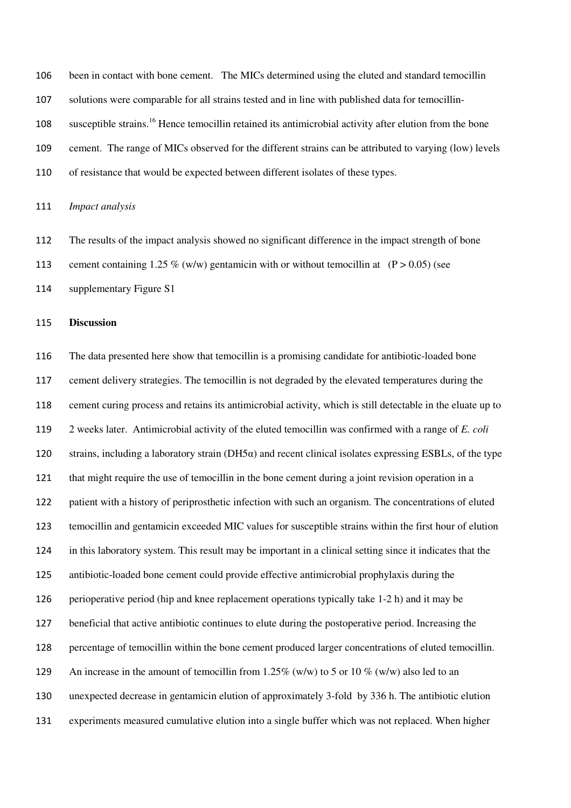been in contact with bone cement. The MICs determined using the eluted and standard temocillin solutions were comparable for all strains tested and in line with published data for temocillinsusceptible strains.<sup>16</sup> Hence temocillin retained its antimicrobial activity after elution from the bone cement. The range of MICs observed for the different strains can be attributed to varying (low) levels of resistance that would be expected between different isolates of these types.

*Impact analysis* 

The results of the impact analysis showed no significant difference in the impact strength of bone

113 cement containing 1.25 % (w/w) gentamicin with or without temocillin at  $(P > 0.05)$  (see

supplementary Figure S1

## **Discussion**

The data presented here show that temocillin is a promising candidate for antibiotic-loaded bone cement delivery strategies. The temocillin is not degraded by the elevated temperatures during the cement curing process and retains its antimicrobial activity, which is still detectable in the eluate up to 2 weeks later. Antimicrobial activity of the eluted temocillin was confirmed with a range of *E. coli*  120 strains, including a laboratory strain ( $DH5\alpha$ ) and recent clinical isolates expressing ESBLs, of the type that might require the use of temocillin in the bone cement during a joint revision operation in a patient with a history of periprosthetic infection with such an organism. The concentrations of eluted temocillin and gentamicin exceeded MIC values for susceptible strains within the first hour of elution in this laboratory system. This result may be important in a clinical setting since it indicates that the antibiotic-loaded bone cement could provide effective antimicrobial prophylaxis during the perioperative period (hip and knee replacement operations typically take 1-2 h) and it may be beneficial that active antibiotic continues to elute during the postoperative period. Increasing the percentage of temocillin within the bone cement produced larger concentrations of eluted temocillin. 129 An increase in the amount of temocillin from 1.25% (w/w) to 5 or 10 % (w/w) also led to an unexpected decrease in gentamicin elution of approximately 3-fold by 336 h. The antibiotic elution experiments measured cumulative elution into a single buffer which was not replaced. When higher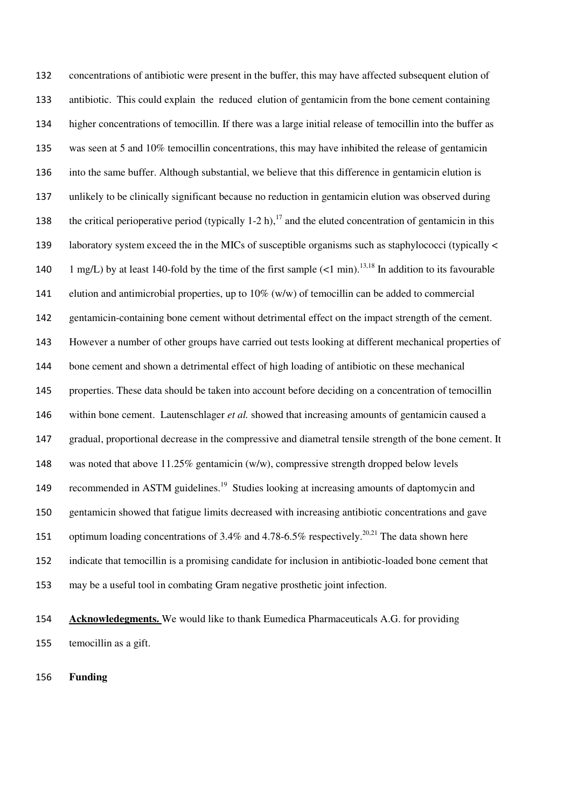concentrations of antibiotic were present in the buffer, this may have affected subsequent elution of antibiotic. This could explain the reduced elution of gentamicin from the bone cement containing higher concentrations of temocillin. If there was a large initial release of temocillin into the buffer as was seen at 5 and 10% temocillin concentrations, this may have inhibited the release of gentamicin into the same buffer. Although substantial, we believe that this difference in gentamicin elution is unlikely to be clinically significant because no reduction in gentamicin elution was observed during 138 the critical perioperative period (typically 1-2 h),<sup>17</sup> and the eluted concentration of gentamicin in this laboratory system exceed the in the MICs of susceptible organisms such as staphylococci (typically < 140 1 mg/L) by at least 140-fold by the time of the first sample  $(<1 \text{ min.}^{13,18}$  In addition to its favourable 141 elution and antimicrobial properties, up to  $10\%$  (w/w) of temocillin can be added to commercial gentamicin-containing bone cement without detrimental effect on the impact strength of the cement. However a number of other groups have carried out tests looking at different mechanical properties of bone cement and shown a detrimental effect of high loading of antibiotic on these mechanical properties. These data should be taken into account before deciding on a concentration of temocillin within bone cement. Lautenschlager *et al.* showed that increasing amounts of gentamicin caused a gradual, proportional decrease in the compressive and diametral tensile strength of the bone cement. It was noted that above 11.25% gentamicin (w/w), compressive strength dropped below levels 149 recommended in ASTM guidelines.<sup>19</sup> Studies looking at increasing amounts of daptomycin and gentamicin showed that fatigue limits decreased with increasing antibiotic concentrations and gave 151 optimum loading concentrations of 3.4% and 4.78-6.5% respectively.<sup>20,21</sup> The data shown here indicate that temocillin is a promising candidate for inclusion in antibiotic-loaded bone cement that may be a useful tool in combating Gram negative prosthetic joint infection.

**Acknowledegments.** We would like to thank Eumedica Pharmaceuticals A.G. for providing temocillin as a gift.

**Funding**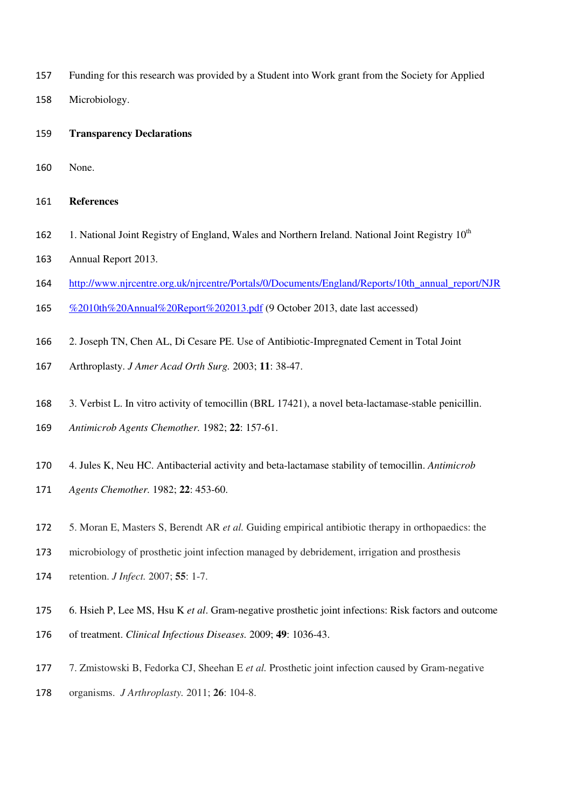- Funding for this research was provided by a Student into Work grant from the Society for Applied
- Microbiology.
- **Transparency Declarations**
- None.

#### **References**

- 162 1. National Joint Registry of England, Wales and Northern Ireland. National Joint Registry  $10^{th}$
- Annual Report 2013.
- http://www.njrcentre.org.uk/njrcentre/Portals/0/Documents/England/Reports/10th\_annual\_report/NJR
- 165 % 2010th%20Annual%20Report%202013.pdf (9 October 2013, date last accessed)
- 2. Joseph TN, Chen AL, Di Cesare PE. Use of Antibiotic-Impregnated Cement in Total Joint
- Arthroplasty. *J Amer Acad Orth Surg.* 2003; **11**: 38-47.
- 3. Verbist L. In vitro activity of temocillin (BRL 17421), a novel beta-lactamase-stable penicillin.
- *Antimicrob Agents Chemother.* 1982; **22**: 157-61.
- 4. Jules K, Neu HC. Antibacterial activity and beta-lactamase stability of temocillin. *Antimicrob*
- *Agents Chemother.* 1982; **22**: 453-60.
- 5. Moran E, Masters S, Berendt AR *et al.* Guiding empirical antibiotic therapy in orthopaedics: the
- microbiology of prosthetic joint infection managed by debridement, irrigation and prosthesis
- retention. *J Infect.* 2007; **55**: 1-7.
- 6. Hsieh P, Lee MS, Hsu K *et al*. Gram-negative prosthetic joint infections: Risk factors and outcome
- of treatment. *Clinical Infectious Diseases.* 2009; **49**: 1036-43.
- 7. Zmistowski B, Fedorka CJ, Sheehan E *et al.* Prosthetic joint infection caused by Gram-negative
- organisms. *J Arthroplasty.* 2011; **26**: 104-8.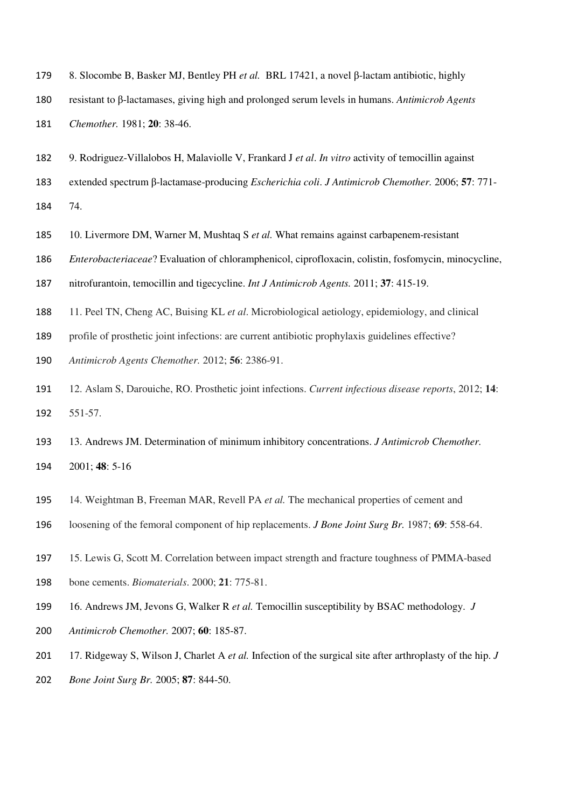- 8. Slocombe B, Basker MJ, Bentley PH *et al.* BRL 17421, a novel β-lactam antibiotic, highly
- resistant to β-lactamases, giving high and prolonged serum levels in humans. *Antimicrob Agents Chemother.* 1981; **20**: 38-46.
- 9. Rodriguez-Villalobos H, Malaviolle V, Frankard J *et al*. *In vitro* activity of temocillin against
- extended spectrum β-lactamase-producing *Escherichia coli*. *J Antimicrob Chemother.* 2006; **57**: 771-
- 74.
- 10. Livermore DM, Warner M, Mushtaq S *et al.* What remains against carbapenem-resistant
- *Enterobacteriaceae*? Evaluation of chloramphenicol, ciprofloxacin, colistin, fosfomycin, minocycline,
- nitrofurantoin, temocillin and tigecycline. *Int J Antimicrob Agents.* 2011; **37**: 415-19.
- 11. Peel TN, Cheng AC, Buising KL *et al*. Microbiological aetiology, epidemiology, and clinical
- profile of prosthetic joint infections: are current antibiotic prophylaxis guidelines effective?
- *Antimicrob Agents Chemother.* 2012; **56**: 2386-91.
- 12. Aslam S, Darouiche, RO. Prosthetic joint infections. *Current infectious disease reports*, 2012; **14**: 551-57.
- 13. Andrews JM. Determination of minimum inhibitory concentrations. *J Antimicrob Chemother.*  2001; **48**: 5-16
- 14. Weightman B, Freeman MAR, Revell PA *et al.* The mechanical properties of cement and
- loosening of the femoral component of hip replacements. *J Bone Joint Surg Br.* 1987; **69**: 558-64.
- 15. Lewis G, Scott M. Correlation between impact strength and fracture toughness of PMMA-based
- bone cements. *Biomaterials*. 2000; **21**: 775-81.
- 16. Andrews JM, Jevons G, Walker R *et al.* Temocillin susceptibility by BSAC methodology. *J*
- *Antimicrob Chemother.* 2007; **60**: 185-87.
- 17. Ridgeway S, Wilson J, Charlet A *et al.* Infection of the surgical site after arthroplasty of the hip. *J*
- *Bone Joint Surg Br.* 2005; **87**: 844-50.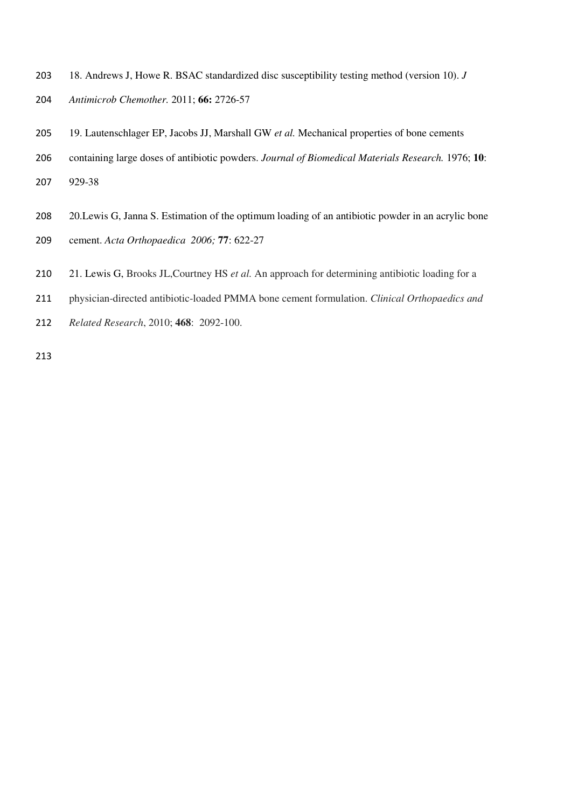- 18. Andrews J, Howe R. BSAC standardized disc susceptibility testing method (version 10). *J*
- *Antimicrob Chemother.* 2011; **66:** 2726-57
- 19. Lautenschlager EP, Jacobs JJ, Marshall GW *et al.* Mechanical properties of bone cements
- containing large doses of antibiotic powders. *Journal of Biomedical Materials Research.* 1976; **10**:
- 929-38
- 20.Lewis G, Janna S. Estimation of the optimum loading of an antibiotic powder in an acrylic bone
- cement. *Acta Orthopaedica 2006;* **77**: 622-27
- 21. Lewis G, Brooks JL,Courtney HS *et al.* An approach for determining antibiotic loading for a
- physician-directed antibiotic-loaded PMMA bone cement formulation. *Clinical Orthopaedics and*
- *Related Research*, 2010; **468**: 2092-100.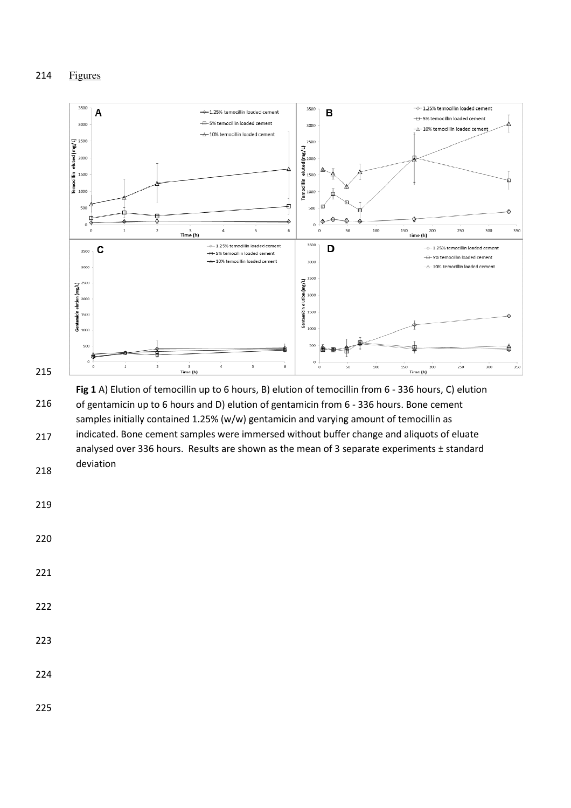Figures



 Fig 1 A) Elution of temocillin up to 6 hours, B) elution of temocillin from 6 - 336 hours, C) elution of gentamicin up to 6 hours and D) elution of gentamicin from 6 - 336 hours. Bone cement samples initially contained 1.25% (w/w) gentamicin and varying amount of temocillin as indicated. Bone cement samples were immersed without buffer change and aliquots of eluate analysed over 336 hours. Results are shown as the mean of 3 separate experiments ± standard deviation